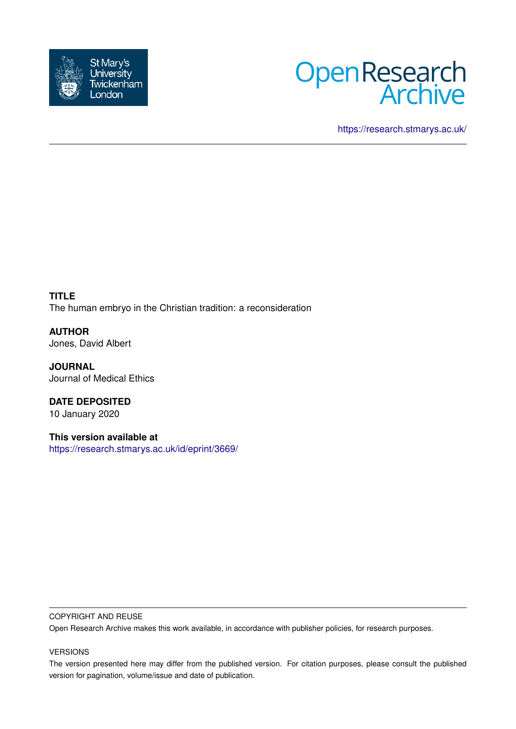



<https://research.stmarys.ac.uk/>

**TITLE** The human embryo in the Christian tradition: a reconsideration

**AUTHOR** Jones, David Albert

**JOURNAL** Journal of Medical Ethics

**DATE DEPOSITED** 10 January 2020

**This version available at** <https://research.stmarys.ac.uk/id/eprint/3669/>

#### COPYRIGHT AND REUSE

Open Research Archive makes this work available, in accordance with publisher policies, for research purposes.

#### VERSIONS

The version presented here may differ from the published version. For citation purposes, please consult the published version for pagination, volume/issue and date of publication.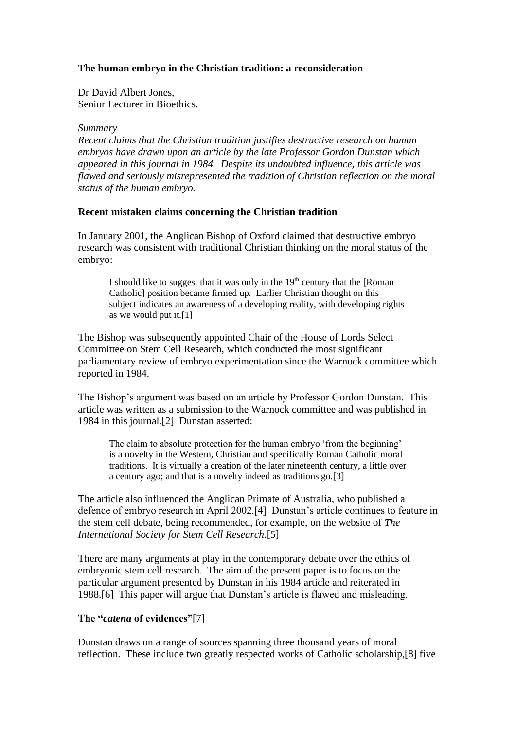# **The human embryo in the Christian tradition: a reconsideration**

Dr David Albert Jones, Senior Lecturer in Bioethics.

#### *Summary*

*Recent claims that the Christian tradition justifies destructive research on human embryos have drawn upon an article by the late Professor Gordon Dunstan which appeared in this journal in 1984. Despite its undoubted influence, this article was flawed and seriously misrepresented the tradition of Christian reflection on the moral status of the human embryo.* 

## **Recent mistaken claims concerning the Christian tradition**

In January 2001, the Anglican Bishop of Oxford claimed that destructive embryo research was consistent with traditional Christian thinking on the moral status of the embryo:

I should like to suggest that it was only in the  $19<sup>th</sup>$  century that the [Roman] Catholic] position became firmed up. Earlier Christian thought on this subject indicates an awareness of a developing reality, with developing rights as we would put it.[1]

The Bishop was subsequently appointed Chair of the House of Lords Select Committee on Stem Cell Research, which conducted the most significant parliamentary review of embryo experimentation since the Warnock committee which reported in 1984.

The Bishop's argument was based on an article by Professor Gordon Dunstan. This article was written as a submission to the Warnock committee and was published in 1984 in this journal.[2] Dunstan asserted:

The claim to absolute protection for the human embryo 'from the beginning' is a novelty in the Western, Christian and specifically Roman Catholic moral traditions. It is virtually a creation of the later nineteenth century, a little over a century ago; and that is a novelty indeed as traditions go.[3]

The article also influenced the Anglican Primate of Australia, who published a defence of embryo research in April 2002.[4] Dunstan's article continues to feature in the stem cell debate, being recommended, for example, on the website of *The International Society for Stem Cell Research*.[5]

There are many arguments at play in the contemporary debate over the ethics of embryonic stem cell research. The aim of the present paper is to focus on the particular argument presented by Dunstan in his 1984 article and reiterated in 1988.[6] This paper will argue that Dunstan's article is flawed and misleading.

## **The "***catena* **of evidences"**[7]

Dunstan draws on a range of sources spanning three thousand years of moral reflection. These include two greatly respected works of Catholic scholarship,[8] five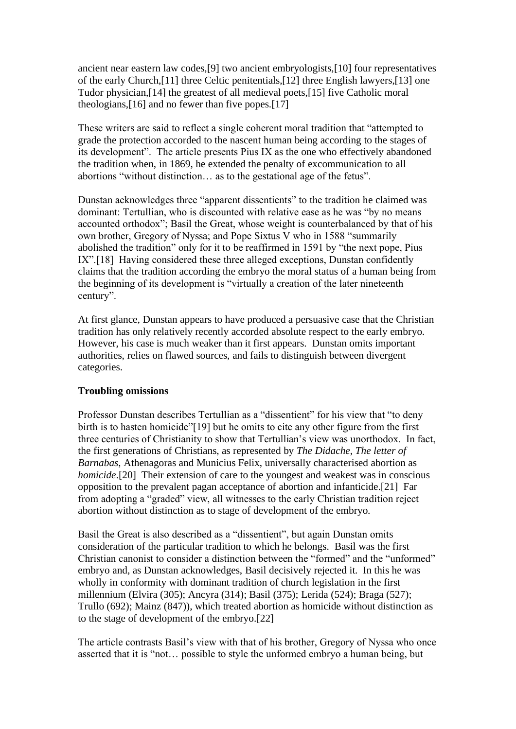ancient near eastern law codes,[9] two ancient embryologists,[10] four representatives of the early Church,[11] three Celtic penitentials,[12] three English lawyers,[13] one Tudor physician,[14] the greatest of all medieval poets,[15] five Catholic moral theologians,[16] and no fewer than five popes.[17]

These writers are said to reflect a single coherent moral tradition that "attempted to grade the protection accorded to the nascent human being according to the stages of its development". The article presents Pius IX as the one who effectively abandoned the tradition when, in 1869, he extended the penalty of excommunication to all abortions "without distinction… as to the gestational age of the fetus".

Dunstan acknowledges three "apparent dissentients" to the tradition he claimed was dominant: Tertullian, who is discounted with relative ease as he was "by no means accounted orthodox"; Basil the Great, whose weight is counterbalanced by that of his own brother, Gregory of Nyssa; and Pope Sixtus V who in 1588 "summarily abolished the tradition" only for it to be reaffirmed in 1591 by "the next pope, Pius IX".[18] Having considered these three alleged exceptions, Dunstan confidently claims that the tradition according the embryo the moral status of a human being from the beginning of its development is "virtually a creation of the later nineteenth century".

At first glance, Dunstan appears to have produced a persuasive case that the Christian tradition has only relatively recently accorded absolute respect to the early embryo. However, his case is much weaker than it first appears. Dunstan omits important authorities, relies on flawed sources, and fails to distinguish between divergent categories.

## **Troubling omissions**

Professor Dunstan describes Tertullian as a "dissentient" for his view that "to deny birth is to hasten homicide"[19] but he omits to cite any other figure from the first three centuries of Christianity to show that Tertullian's view was unorthodox. In fact, the first generations of Christians, as represented by *The Didache*, *The letter of Barnabas*, Athenagoras and Municius Felix, universally characterised abortion as *homicide*.<sup>[20]</sup> Their extension of care to the youngest and weakest was in conscious opposition to the prevalent pagan acceptance of abortion and infanticide.[21] Far from adopting a "graded" view, all witnesses to the early Christian tradition reject abortion without distinction as to stage of development of the embryo.

Basil the Great is also described as a "dissentient", but again Dunstan omits consideration of the particular tradition to which he belongs. Basil was the first Christian canonist to consider a distinction between the "formed" and the "unformed" embryo and, as Dunstan acknowledges, Basil decisively rejected it. In this he was wholly in conformity with dominant tradition of church legislation in the first millennium (Elvira (305); Ancyra (314); Basil (375); Lerida (524); Braga (527); Trullo (692); Mainz (847)), which treated abortion as homicide without distinction as to the stage of development of the embryo.[22]

The article contrasts Basil's view with that of his brother, Gregory of Nyssa who once asserted that it is "not… possible to style the unformed embryo a human being, but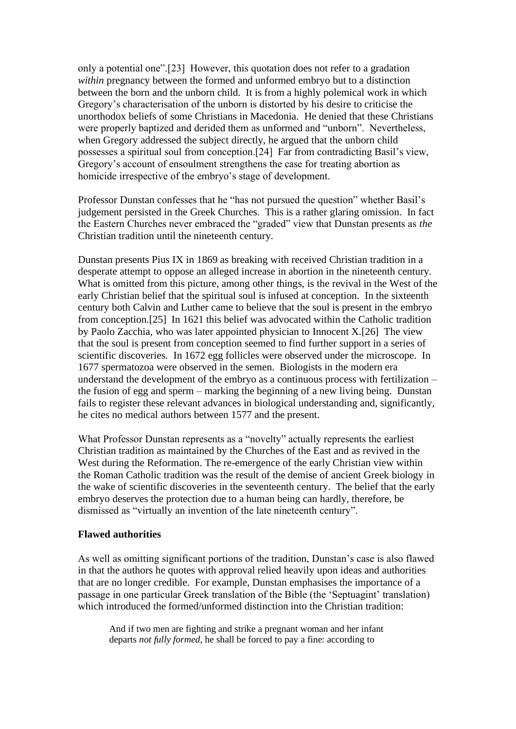only a potential one".[23] However, this quotation does not refer to a gradation *within* pregnancy between the formed and unformed embryo but to a distinction between the born and the unborn child. It is from a highly polemical work in which Gregory's characterisation of the unborn is distorted by his desire to criticise the unorthodox beliefs of some Christians in Macedonia. He denied that these Christians were properly baptized and derided them as unformed and "unborn". Nevertheless, when Gregory addressed the subject directly, he argued that the unborn child possesses a spiritual soul from conception.[24] Far from contradicting Basil's view, Gregory's account of ensoulment strengthens the case for treating abortion as homicide irrespective of the embryo's stage of development.

Professor Dunstan confesses that he "has not pursued the question" whether Basil's judgement persisted in the Greek Churches. This is a rather glaring omission. In fact the Eastern Churches never embraced the "graded" view that Dunstan presents as *the* Christian tradition until the nineteenth century.

Dunstan presents Pius IX in 1869 as breaking with received Christian tradition in a desperate attempt to oppose an alleged increase in abortion in the nineteenth century. What is omitted from this picture, among other things, is the revival in the West of the early Christian belief that the spiritual soul is infused at conception. In the sixteenth century both Calvin and Luther came to believe that the soul is present in the embryo from conception.[25] In 1621 this belief was advocated within the Catholic tradition by Paolo Zacchia, who was later appointed physician to Innocent X.[26] The view that the soul is present from conception seemed to find further support in a series of scientific discoveries. In 1672 egg follicles were observed under the microscope. In 1677 spermatozoa were observed in the semen. Biologists in the modern era understand the development of the embryo as a continuous process with fertilization – the fusion of egg and sperm – marking the beginning of a new living being. Dunstan fails to register these relevant advances in biological understanding and, significantly, he cites no medical authors between 1577 and the present.

What Professor Dunstan represents as a "novelty" actually represents the earliest Christian tradition as maintained by the Churches of the East and as revived in the West during the Reformation. The re-emergence of the early Christian view within the Roman Catholic tradition was the result of the demise of ancient Greek biology in the wake of scientific discoveries in the seventeenth century. The belief that the early embryo deserves the protection due to a human being can hardly, therefore, be dismissed as "virtually an invention of the late nineteenth century".

## **Flawed authorities**

As well as omitting significant portions of the tradition, Dunstan's case is also flawed in that the authors he quotes with approval relied heavily upon ideas and authorities that are no longer credible. For example, Dunstan emphasises the importance of a passage in one particular Greek translation of the Bible (the 'Septuagint' translation) which introduced the formed/unformed distinction into the Christian tradition:

And if two men are fighting and strike a pregnant woman and her infant departs *not fully formed*, he shall be forced to pay a fine: according to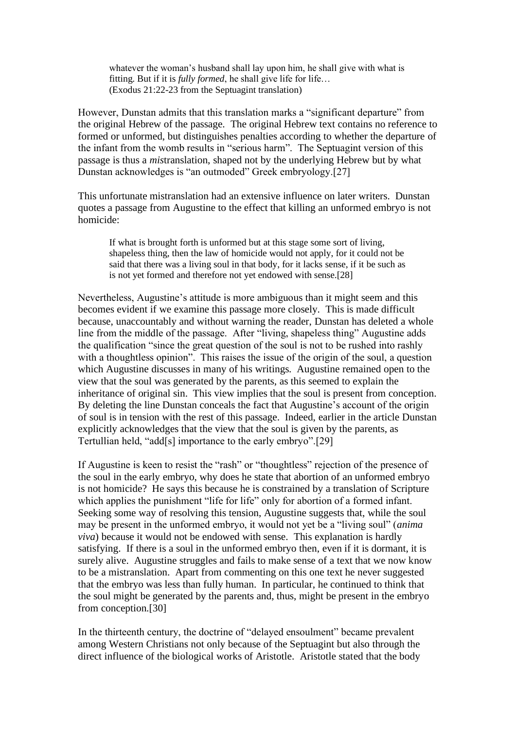whatever the woman's husband shall lay upon him, he shall give with what is fitting. But if it is *fully formed*, he shall give life for life… (Exodus 21:22-23 from the Septuagint translation)

However, Dunstan admits that this translation marks a "significant departure" from the original Hebrew of the passage. The original Hebrew text contains no reference to formed or unformed, but distinguishes penalties according to whether the departure of the infant from the womb results in "serious harm". The Septuagint version of this passage is thus a *mis*translation, shaped not by the underlying Hebrew but by what Dunstan acknowledges is "an outmoded" Greek embryology.[27]

This unfortunate mistranslation had an extensive influence on later writers. Dunstan quotes a passage from Augustine to the effect that killing an unformed embryo is not homicide:

If what is brought forth is unformed but at this stage some sort of living, shapeless thing, then the law of homicide would not apply, for it could not be said that there was a living soul in that body, for it lacks sense, if it be such as is not yet formed and therefore not yet endowed with sense.[28]

Nevertheless, Augustine's attitude is more ambiguous than it might seem and this becomes evident if we examine this passage more closely. This is made difficult because, unaccountably and without warning the reader, Dunstan has deleted a whole line from the middle of the passage. After "living, shapeless thing" Augustine adds the qualification "since the great question of the soul is not to be rushed into rashly with a thoughtless opinion". This raises the issue of the origin of the soul, a question which Augustine discusses in many of his writings. Augustine remained open to the view that the soul was generated by the parents, as this seemed to explain the inheritance of original sin. This view implies that the soul is present from conception. By deleting the line Dunstan conceals the fact that Augustine's account of the origin of soul is in tension with the rest of this passage. Indeed, earlier in the article Dunstan explicitly acknowledges that the view that the soul is given by the parents, as Tertullian held, "add[s] importance to the early embryo".[29]

If Augustine is keen to resist the "rash" or "thoughtless" rejection of the presence of the soul in the early embryo, why does he state that abortion of an unformed embryo is not homicide? He says this because he is constrained by a translation of Scripture which applies the punishment "life for life" only for abortion of a formed infant. Seeking some way of resolving this tension, Augustine suggests that, while the soul may be present in the unformed embryo, it would not yet be a "living soul" (*anima viva*) because it would not be endowed with sense. This explanation is hardly satisfying. If there is a soul in the unformed embryo then, even if it is dormant, it is surely alive. Augustine struggles and fails to make sense of a text that we now know to be a mistranslation. Apart from commenting on this one text he never suggested that the embryo was less than fully human. In particular, he continued to think that the soul might be generated by the parents and, thus, might be present in the embryo from conception.[30]

In the thirteenth century, the doctrine of "delayed ensoulment" became prevalent among Western Christians not only because of the Septuagint but also through the direct influence of the biological works of Aristotle. Aristotle stated that the body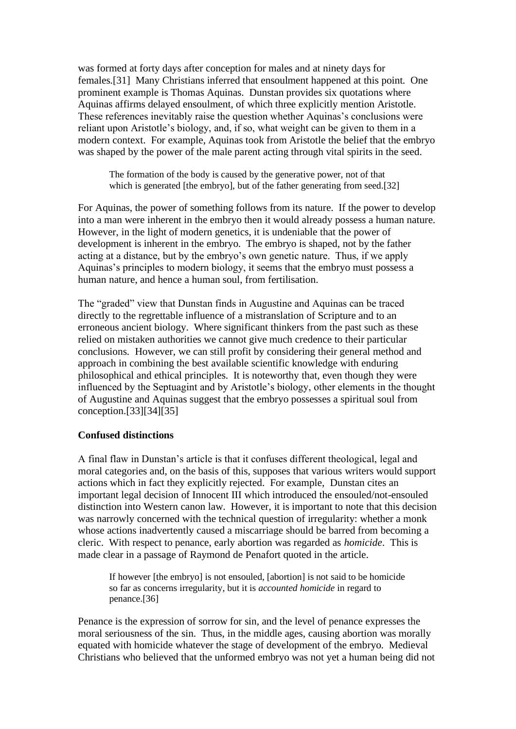was formed at forty days after conception for males and at ninety days for females.[31] Many Christians inferred that ensoulment happened at this point. One prominent example is Thomas Aquinas. Dunstan provides six quotations where Aquinas affirms delayed ensoulment, of which three explicitly mention Aristotle. These references inevitably raise the question whether Aquinas's conclusions were reliant upon Aristotle's biology, and, if so, what weight can be given to them in a modern context. For example, Aquinas took from Aristotle the belief that the embryo was shaped by the power of the male parent acting through vital spirits in the seed.

The formation of the body is caused by the generative power, not of that which is generated [the embryo], but of the father generating from seed.[32]

For Aquinas, the power of something follows from its nature. If the power to develop into a man were inherent in the embryo then it would already possess a human nature. However, in the light of modern genetics, it is undeniable that the power of development is inherent in the embryo. The embryo is shaped, not by the father acting at a distance, but by the embryo's own genetic nature. Thus, if we apply Aquinas's principles to modern biology, it seems that the embryo must possess a human nature, and hence a human soul, from fertilisation.

The "graded" view that Dunstan finds in Augustine and Aquinas can be traced directly to the regrettable influence of a mistranslation of Scripture and to an erroneous ancient biology. Where significant thinkers from the past such as these relied on mistaken authorities we cannot give much credence to their particular conclusions. However, we can still profit by considering their general method and approach in combining the best available scientific knowledge with enduring philosophical and ethical principles. It is noteworthy that, even though they were influenced by the Septuagint and by Aristotle's biology, other elements in the thought of Augustine and Aquinas suggest that the embryo possesses a spiritual soul from conception.[33][34][35]

#### **Confused distinctions**

A final flaw in Dunstan's article is that it confuses different theological, legal and moral categories and, on the basis of this, supposes that various writers would support actions which in fact they explicitly rejected. For example, Dunstan cites an important legal decision of Innocent III which introduced the ensouled/not-ensouled distinction into Western canon law. However, it is important to note that this decision was narrowly concerned with the technical question of irregularity: whether a monk whose actions inadvertently caused a miscarriage should be barred from becoming a cleric. With respect to penance, early abortion was regarded as *homicide*. This is made clear in a passage of Raymond de Penafort quoted in the article.

If however [the embryo] is not ensouled, [abortion] is not said to be homicide so far as concerns irregularity, but it is *accounted homicide* in regard to penance.[36]

Penance is the expression of sorrow for sin, and the level of penance expresses the moral seriousness of the sin. Thus, in the middle ages, causing abortion was morally equated with homicide whatever the stage of development of the embryo. Medieval Christians who believed that the unformed embryo was not yet a human being did not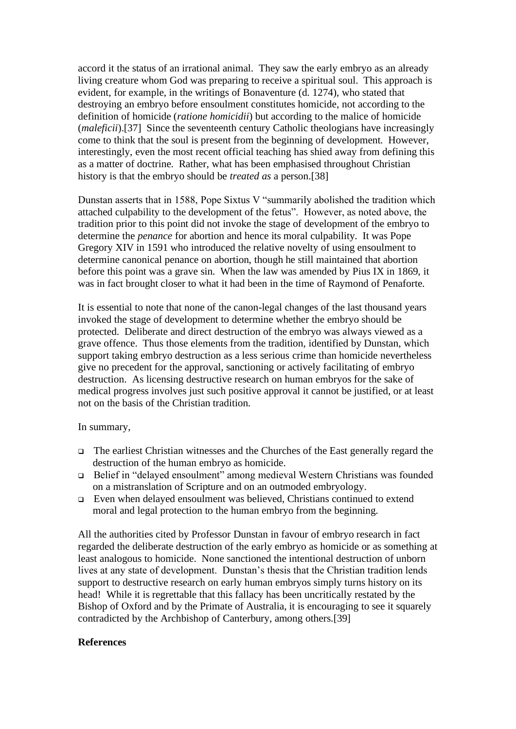accord it the status of an irrational animal. They saw the early embryo as an already living creature whom God was preparing to receive a spiritual soul. This approach is evident, for example, in the writings of Bonaventure (d. 1274), who stated that destroying an embryo before ensoulment constitutes homicide, not according to the definition of homicide (*ratione homicidii*) but according to the malice of homicide (*maleficii*).[37] Since the seventeenth century Catholic theologians have increasingly come to think that the soul is present from the beginning of development. However, interestingly, even the most recent official teaching has shied away from defining this as a matter of doctrine. Rather, what has been emphasised throughout Christian history is that the embryo should be *treated as* a person.[38]

Dunstan asserts that in 1588, Pope Sixtus V "summarily abolished the tradition which attached culpability to the development of the fetus". However, as noted above, the tradition prior to this point did not invoke the stage of development of the embryo to determine the *penance* for abortion and hence its moral culpability. It was Pope Gregory XIV in 1591 who introduced the relative novelty of using ensoulment to determine canonical penance on abortion, though he still maintained that abortion before this point was a grave sin. When the law was amended by Pius IX in 1869, it was in fact brought closer to what it had been in the time of Raymond of Penaforte.

It is essential to note that none of the canon-legal changes of the last thousand years invoked the stage of development to determine whether the embryo should be protected. Deliberate and direct destruction of the embryo was always viewed as a grave offence. Thus those elements from the tradition, identified by Dunstan, which support taking embryo destruction as a less serious crime than homicide nevertheless give no precedent for the approval, sanctioning or actively facilitating of embryo destruction. As licensing destructive research on human embryos for the sake of medical progress involves just such positive approval it cannot be justified, or at least not on the basis of the Christian tradition.

In summary,

- ❑ The earliest Christian witnesses and the Churches of the East generally regard the destruction of the human embryo as homicide.
- ❑ Belief in "delayed ensoulment" among medieval Western Christians was founded on a mistranslation of Scripture and on an outmoded embryology.
- ❑ Even when delayed ensoulment was believed, Christians continued to extend moral and legal protection to the human embryo from the beginning.

All the authorities cited by Professor Dunstan in favour of embryo research in fact regarded the deliberate destruction of the early embryo as homicide or as something at least analogous to homicide. None sanctioned the intentional destruction of unborn lives at any state of development. Dunstan's thesis that the Christian tradition lends support to destructive research on early human embryos simply turns history on its head! While it is regrettable that this fallacy has been uncritically restated by the Bishop of Oxford and by the Primate of Australia, it is encouraging to see it squarely contradicted by the Archbishop of Canterbury, among others.[39]

# **References**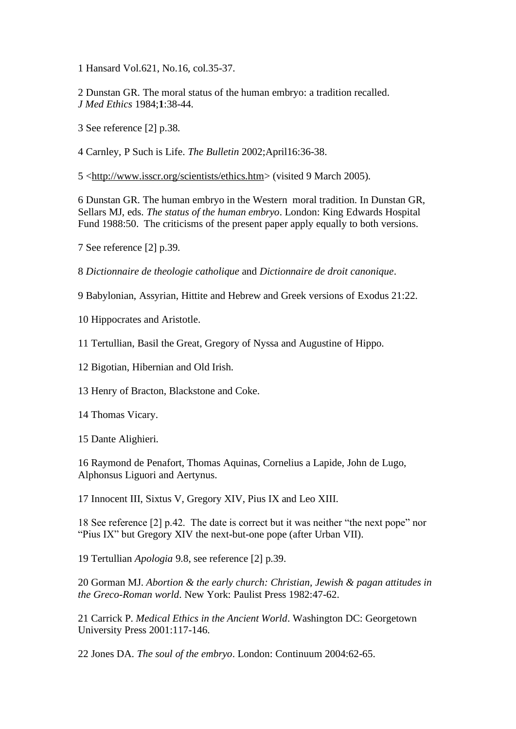1 Hansard Vol.621, No.16, col.35-37.

2 Dunstan GR. The moral status of the human embryo: a tradition recalled. *J Med Ethics* 1984;**1**:38-44.

3 See reference [2] p.38.

4 Carnley, P Such is Life. *The Bulletin* 2002;April16:36-38.

5 <http://www.isscr.org/scientists/ethics.htm> (visited 9 March 2005).

6 Dunstan GR. The human embryo in the Western moral tradition. In Dunstan GR, Sellars MJ, eds. *The status of the human embryo*. London: King Edwards Hospital Fund 1988:50. The criticisms of the present paper apply equally to both versions.

7 See reference [2] p.39.

8 *Dictionnaire de theologie catholique* and *Dictionnaire de droit canonique*.

9 Babylonian, Assyrian, Hittite and Hebrew and Greek versions of Exodus 21:22.

10 Hippocrates and Aristotle.

11 Tertullian, Basil the Great, Gregory of Nyssa and Augustine of Hippo.

12 Bigotian, Hibernian and Old Irish.

13 Henry of Bracton, Blackstone and Coke.

14 Thomas Vicary.

15 Dante Alighieri.

16 Raymond de Penafort, Thomas Aquinas, Cornelius a Lapide, John de Lugo, Alphonsus Liguori and Aertynus.

17 Innocent III, Sixtus V, Gregory XIV, Pius IX and Leo XIII.

18 See reference [2] p.42. The date is correct but it was neither "the next pope" nor "Pius IX" but Gregory XIV the next-but-one pope (after Urban VII).

19 Tertullian *Apologia* 9.8, see reference [2] p.39.

20 Gorman MJ. *Abortion & the early church: Christian, Jewish & pagan attitudes in the Greco-Roman world*. New York: Paulist Press 1982:47-62.

21 Carrick P. *Medical Ethics in the Ancient World*. Washington DC: Georgetown University Press 2001:117-146.

22 Jones DA. *The soul of the embryo*. London: Continuum 2004:62-65.